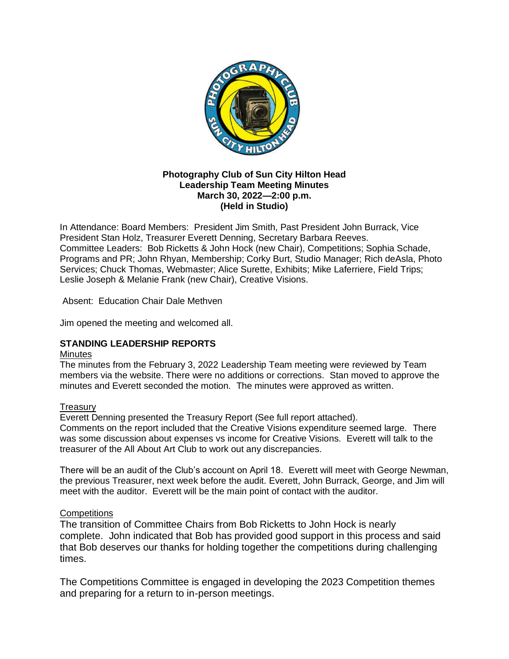

#### **Photography Club of Sun City Hilton Head Leadership Team Meeting Minutes March 30, 2022—2:00 p.m. (Held in Studio)**

In Attendance: Board Members: President Jim Smith, Past President John Burrack, Vice President Stan Holz, Treasurer Everett Denning, Secretary Barbara Reeves. Committee Leaders: Bob Ricketts & John Hock (new Chair), Competitions; Sophia Schade, Programs and PR; John Rhyan, Membership; Corky Burt, Studio Manager; Rich deAsla, Photo Services; Chuck Thomas, Webmaster; Alice Surette, Exhibits; Mike Laferriere, Field Trips; Leslie Joseph & Melanie Frank (new Chair), Creative Visions.

Absent: Education Chair Dale Methven

Jim opened the meeting and welcomed all.

#### **STANDING LEADERSHIP REPORTS**

#### **Minutes**

The minutes from the February 3, 2022 Leadership Team meeting were reviewed by Team members via the website. There were no additions or corrections. Stan moved to approve the minutes and Everett seconded the motion. The minutes were approved as written.

#### **Treasury**

Everett Denning presented the Treasury Report (See full report attached).

Comments on the report included that the Creative Visions expenditure seemed large. There was some discussion about expenses vs income for Creative Visions. Everett will talk to the treasurer of the All About Art Club to work out any discrepancies.

There will be an audit of the Club's account on April 18. Everett will meet with George Newman, the previous Treasurer, next week before the audit. Everett, John Burrack, George, and Jim will meet with the auditor. Everett will be the main point of contact with the auditor.

#### **Competitions**

The transition of Committee Chairs from Bob Ricketts to John Hock is nearly complete. John indicated that Bob has provided good support in this process and said that Bob deserves our thanks for holding together the competitions during challenging times.

The Competitions Committee is engaged in developing the 2023 Competition themes and preparing for a return to in-person meetings.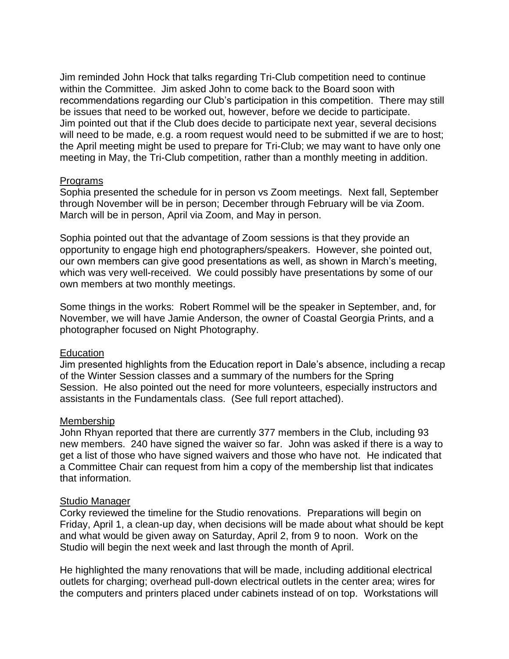Jim reminded John Hock that talks regarding Tri-Club competition need to continue within the Committee. Jim asked John to come back to the Board soon with recommendations regarding our Club's participation in this competition. There may still be issues that need to be worked out, however, before we decide to participate. Jim pointed out that if the Club does decide to participate next year, several decisions will need to be made, e.g. a room request would need to be submitted if we are to host; the April meeting might be used to prepare for Tri-Club; we may want to have only one meeting in May, the Tri-Club competition, rather than a monthly meeting in addition.

#### Programs

Sophia presented the schedule for in person vs Zoom meetings. Next fall, September through November will be in person; December through February will be via Zoom. March will be in person, April via Zoom, and May in person.

Sophia pointed out that the advantage of Zoom sessions is that they provide an opportunity to engage high end photographers/speakers. However, she pointed out, our own members can give good presentations as well, as shown in March's meeting, which was very well-received. We could possibly have presentations by some of our own members at two monthly meetings.

Some things in the works: Robert Rommel will be the speaker in September, and, for November, we will have Jamie Anderson, the owner of Coastal Georgia Prints, and a photographer focused on Night Photography.

#### Education

Jim presented highlights from the Education report in Dale's absence, including a recap of the Winter Session classes and a summary of the numbers for the Spring Session. He also pointed out the need for more volunteers, especially instructors and assistants in the Fundamentals class. (See full report attached).

#### Membership

John Rhyan reported that there are currently 377 members in the Club, including 93 new members. 240 have signed the waiver so far. John was asked if there is a way to get a list of those who have signed waivers and those who have not. He indicated that a Committee Chair can request from him a copy of the membership list that indicates that information.

#### Studio Manager

Corky reviewed the timeline for the Studio renovations. Preparations will begin on Friday, April 1, a clean-up day, when decisions will be made about what should be kept and what would be given away on Saturday, April 2, from 9 to noon. Work on the Studio will begin the next week and last through the month of April.

He highlighted the many renovations that will be made, including additional electrical outlets for charging; overhead pull-down electrical outlets in the center area; wires for the computers and printers placed under cabinets instead of on top. Workstations will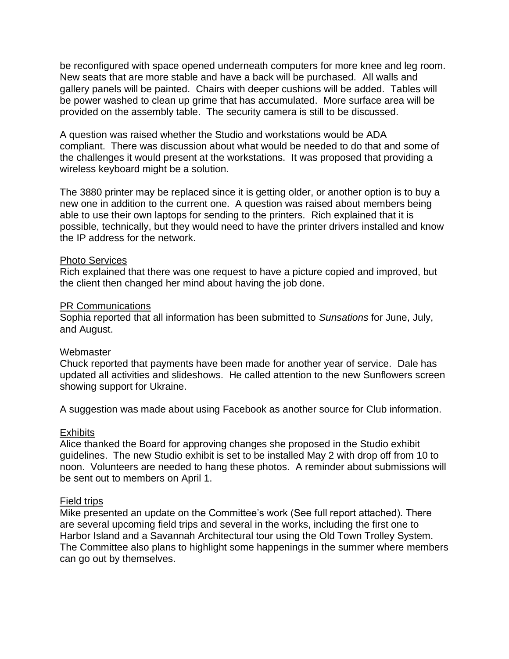be reconfigured with space opened underneath computers for more knee and leg room. New seats that are more stable and have a back will be purchased. All walls and gallery panels will be painted. Chairs with deeper cushions will be added. Tables will be power washed to clean up grime that has accumulated. More surface area will be provided on the assembly table. The security camera is still to be discussed.

A question was raised whether the Studio and workstations would be ADA compliant. There was discussion about what would be needed to do that and some of the challenges it would present at the workstations. It was proposed that providing a wireless keyboard might be a solution.

The 3880 printer may be replaced since it is getting older, or another option is to buy a new one in addition to the current one. A question was raised about members being able to use their own laptops for sending to the printers. Rich explained that it is possible, technically, but they would need to have the printer drivers installed and know the IP address for the network.

#### Photo Services

Rich explained that there was one request to have a picture copied and improved, but the client then changed her mind about having the job done.

#### PR Communications

Sophia reported that all information has been submitted to *Sunsations* for June, July, and August.

#### Webmaster

Chuck reported that payments have been made for another year of service. Dale has updated all activities and slideshows. He called attention to the new Sunflowers screen showing support for Ukraine.

A suggestion was made about using Facebook as another source for Club information.

#### **Exhibits**

Alice thanked the Board for approving changes she proposed in the Studio exhibit guidelines. The new Studio exhibit is set to be installed May 2 with drop off from 10 to noon. Volunteers are needed to hang these photos. A reminder about submissions will be sent out to members on April 1.

#### Field trips

Mike presented an update on the Committee's work (See full report attached). There are several upcoming field trips and several in the works, including the first one to Harbor Island and a Savannah Architectural tour using the Old Town Trolley System. The Committee also plans to highlight some happenings in the summer where members can go out by themselves.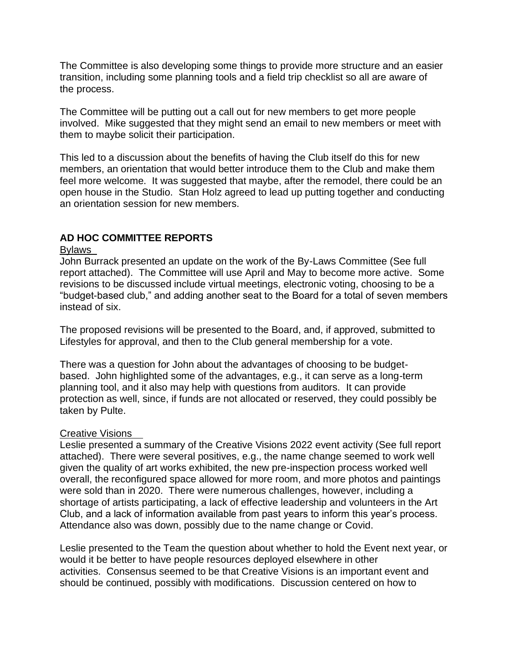The Committee is also developing some things to provide more structure and an easier transition, including some planning tools and a field trip checklist so all are aware of the process.

The Committee will be putting out a call out for new members to get more people involved. Mike suggested that they might send an email to new members or meet with them to maybe solicit their participation.

This led to a discussion about the benefits of having the Club itself do this for new members, an orientation that would better introduce them to the Club and make them feel more welcome. It was suggested that maybe, after the remodel, there could be an open house in the Studio. Stan Holz agreed to lead up putting together and conducting an orientation session for new members.

#### **AD HOC COMMITTEE REPORTS**

#### Bylaws

John Burrack presented an update on the work of the By-Laws Committee (See full report attached). The Committee will use April and May to become more active. Some revisions to be discussed include virtual meetings, electronic voting, choosing to be a "budget-based club," and adding another seat to the Board for a total of seven members instead of six.

The proposed revisions will be presented to the Board, and, if approved, submitted to Lifestyles for approval, and then to the Club general membership for a vote.

There was a question for John about the advantages of choosing to be budgetbased. John highlighted some of the advantages, e.g., it can serve as a long-term planning tool, and it also may help with questions from auditors. It can provide protection as well, since, if funds are not allocated or reserved, they could possibly be taken by Pulte.

#### Creative Visions

Leslie presented a summary of the Creative Visions 2022 event activity (See full report attached). There were several positives, e.g., the name change seemed to work well given the quality of art works exhibited, the new pre-inspection process worked well overall, the reconfigured space allowed for more room, and more photos and paintings were sold than in 2020. There were numerous challenges, however, including a shortage of artists participating, a lack of effective leadership and volunteers in the Art Club, and a lack of information available from past years to inform this year's process. Attendance also was down, possibly due to the name change or Covid.

Leslie presented to the Team the question about whether to hold the Event next year, or would it be better to have people resources deployed elsewhere in other activities. Consensus seemed to be that Creative Visions is an important event and should be continued, possibly with modifications. Discussion centered on how to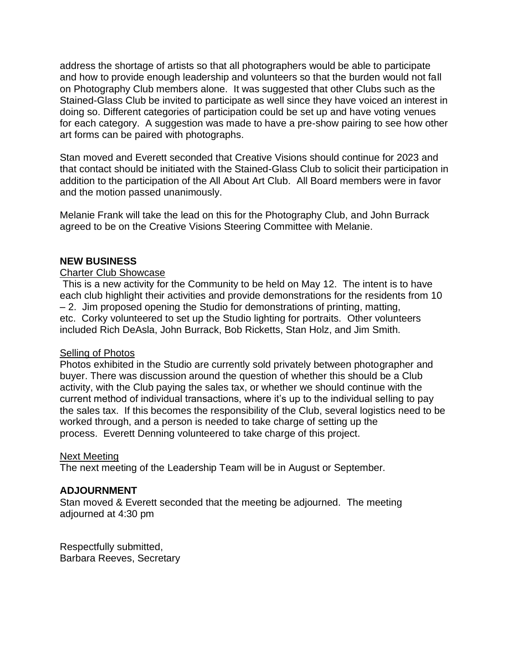address the shortage of artists so that all photographers would be able to participate and how to provide enough leadership and volunteers so that the burden would not fall on Photography Club members alone. It was suggested that other Clubs such as the Stained-Glass Club be invited to participate as well since they have voiced an interest in doing so. Different categories of participation could be set up and have voting venues for each category. A suggestion was made to have a pre-show pairing to see how other art forms can be paired with photographs.

Stan moved and Everett seconded that Creative Visions should continue for 2023 and that contact should be initiated with the Stained-Glass Club to solicit their participation in addition to the participation of the All About Art Club. All Board members were in favor and the motion passed unanimously.

Melanie Frank will take the lead on this for the Photography Club, and John Burrack agreed to be on the Creative Visions Steering Committee with Melanie.

#### **NEW BUSINESS**

#### Charter Club Showcase

This is a new activity for the Community to be held on May 12. The intent is to have each club highlight their activities and provide demonstrations for the residents from 10 – 2. Jim proposed opening the Studio for demonstrations of printing, matting, etc. Corky volunteered to set up the Studio lighting for portraits. Other volunteers included Rich DeAsla, John Burrack, Bob Ricketts, Stan Holz, and Jim Smith.

#### Selling of Photos

Photos exhibited in the Studio are currently sold privately between photographer and buyer. There was discussion around the question of whether this should be a Club activity, with the Club paying the sales tax, or whether we should continue with the current method of individual transactions, where it's up to the individual selling to pay the sales tax. If this becomes the responsibility of the Club, several logistics need to be worked through, and a person is needed to take charge of setting up the process. Everett Denning volunteered to take charge of this project.

#### Next Meeting

The next meeting of the Leadership Team will be in August or September.

#### **ADJOURNMENT**

Stan moved & Everett seconded that the meeting be adjourned. The meeting adjourned at 4:30 pm

Respectfully submitted, Barbara Reeves, Secretary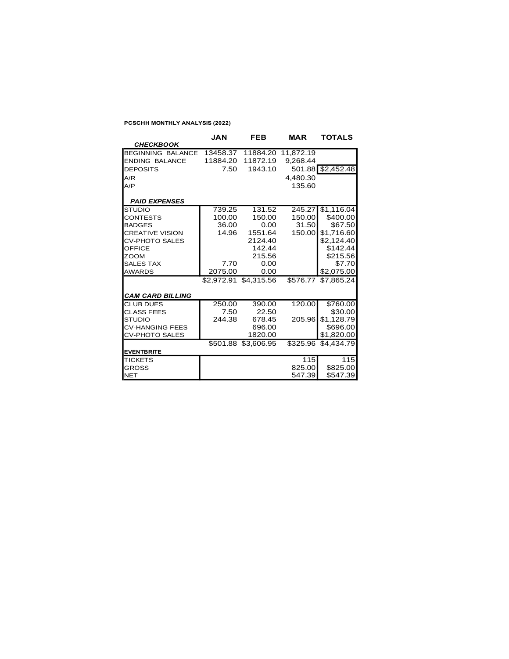#### **PCSCHH MONTHLY ANALYSIS (2022)**

|                         | <b>JAN</b> | FEB                   | MAR                | TOTALS              |
|-------------------------|------------|-----------------------|--------------------|---------------------|
| <b>CHECKBOOK</b>        |            |                       |                    |                     |
| BEGINNING BALANCE       | 13458.37   |                       | 11884.20 11,872.19 |                     |
| <b>ENDING BALANCE</b>   | 11884.20   | 11872.19              | 9,268.44           |                     |
| <b>DEPOSITS</b>         | 7.50       | 1943.10               |                    | 501.88 \$2,452.48   |
| A/R                     |            |                       | 4.480.30           |                     |
| A/P                     |            |                       | 135.60             |                     |
|                         |            |                       |                    |                     |
| <b>PAID EXPENSES</b>    |            |                       |                    |                     |
| <b>STUDIO</b>           | 739.25     | 131.52                | 245.27             | \$1,116.04          |
| <b>CONTESTS</b>         | 100.00     | 150.00                | 150.00             | \$400.00            |
| <b>BADGES</b>           | 36.00      | 0.00                  | 31.50              | \$67.50             |
| <b>CREATIVE VISION</b>  | 14.96      | 1551.64               | 150.00             | \$1,716.60          |
| <b>CV-PHOTO SALES</b>   |            | 2124.40               |                    | \$2,124.40          |
| OFFICE                  |            | 142.44                |                    | \$142.44            |
| <b>ZOOM</b>             |            | 215.56                |                    | \$215.56            |
| <b>SALES TAX</b>        | 7.70       | 0.00                  |                    | \$7.70              |
| <b>AWARDS</b>           | 2075.00    | 0.00                  |                    | \$2,075.00          |
|                         |            | \$2,972.91 \$4,315.56 | \$576.77           | \$7,865.24          |
|                         |            |                       |                    |                     |
| <b>CAM CARD BILLING</b> |            |                       |                    |                     |
| <b>CLUB DUES</b>        | 250.00     | 390.00                | 120.00             | \$760.00            |
| <b>CLASS FEES</b>       | 7.50       | 22.50                 |                    | \$30.00             |
| <b>STUDIO</b>           | 244.38     | 678.45                | 205.96             | \$1,128.79          |
| <b>CV-HANGING FEES</b>  |            | 696.00                |                    | \$696.00            |
| CV-PHOTO SALES          |            | 1820.00               |                    | \$1,820.00          |
|                         |            | \$501.88 \$3,606.95   |                    | \$325.96 \$4.434.79 |
| <b>EVENTBRITE</b>       |            |                       |                    |                     |
| <b>TICKETS</b>          |            |                       | 115                | 115                 |
| <b>GROSS</b>            |            |                       | 825.00             | \$825.00            |
| <b>NET</b>              |            |                       | 547.39             | \$547.39            |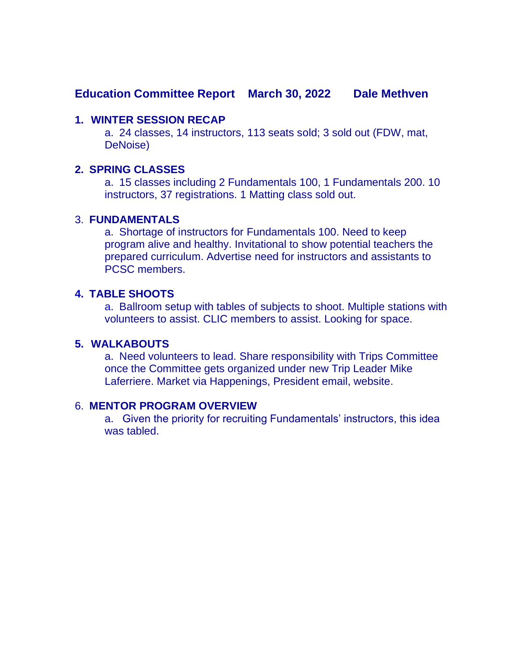## **Education Committee Report March 30, 2022 Dale Methven**

#### **1. WINTER SESSION RECAP**

a. 24 classes, 14 instructors, 113 seats sold; 3 sold out (FDW, mat, DeNoise)

#### **2. SPRING CLASSES**

a. 15 classes including 2 Fundamentals 100, 1 Fundamentals 200. 10 instructors, 37 registrations. 1 Matting class sold out.

#### 3. **FUNDAMENTALS**

a. Shortage of instructors for Fundamentals 100. Need to keep program alive and healthy. Invitational to show potential teachers the prepared curriculum. Advertise need for instructors and assistants to PCSC members.

### **4. TABLE SHOOTS**

a. Ballroom setup with tables of subjects to shoot. Multiple stations with volunteers to assist. CLIC members to assist. Looking for space.

#### **5. WALKABOUTS**

a. Need volunteers to lead. Share responsibility with Trips Committee once the Committee gets organized under new Trip Leader Mike Laferriere. Market via Happenings, President email, website.

#### 6. **MENTOR PROGRAM OVERVIEW**

a. Given the priority for recruiting Fundamentals' instructors, this idea was tabled.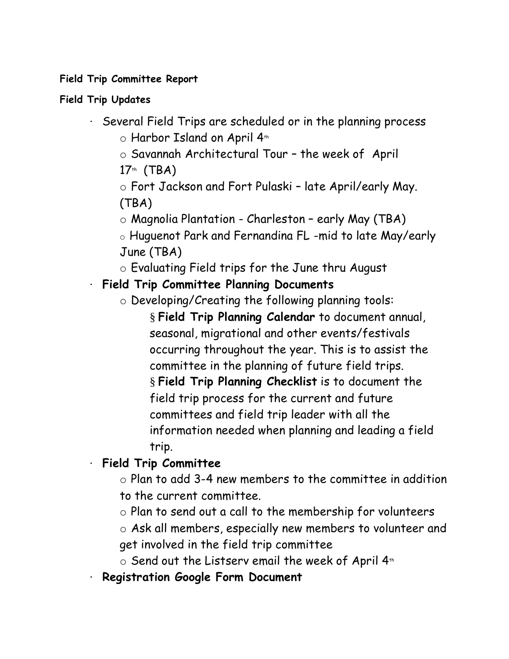## **Field Trip Committee Report**

## **Field Trip Updates**

- · Several Field Trips are scheduled or in the planning process o Harbor Island on April 4th
	- o Savannah Architectural Tour the week of April
	- $17<sup>th</sup>$  (TBA)
	- o Fort Jackson and Fort Pulaski late April/early May. (TBA)
	- $\circ$  Magnolia Plantation Charleston early May (TBA)
	- o Huguenot Park and Fernandina FL -mid to late May/early June (TBA)
	- o Evaluating Field trips for the June thru August

# · **Field Trip Committee Planning Documents**

- o Developing/Creating the following planning tools:
	- § **Field Trip Planning Calendar** to document annual, seasonal, migrational and other events/festivals occurring throughout the year. This is to assist the committee in the planning of future field trips. § **Field Trip Planning Checklist** is to document the field trip process for the current and future committees and field trip leader with all the information needed when planning and leading a field trip.

# · **Field Trip Committee**

- o Plan to add 3-4 new members to the committee in addition to the current committee.
- o Plan to send out a call to the membership for volunteers
- o Ask all members, especially new members to volunteer and get involved in the field trip committee
- $\circ$  Send out the Listserv email the week of April 4<sup>th</sup>
- · **Registration Google Form Document**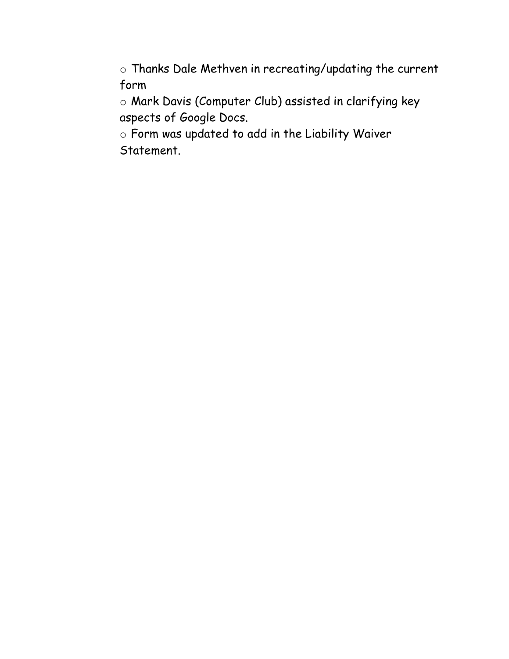o Thanks Dale Methven in recreating/updating the current form

o Mark Davis (Computer Club) assisted in clarifying key aspects of Google Docs.

o Form was updated to add in the Liability Waiver Statement.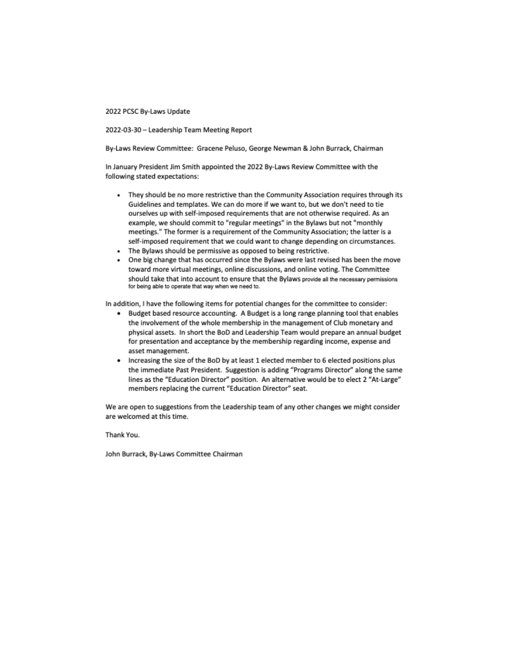2022 PCSC By-Laws Update

2022-03-30 - Leadership Team Meeting Report

By-Laws Review Committee: Gracene Peluso, George Newman & John Burrack, Chairman

In January President Jim Smith appointed the 2022 By-Laws Review Committee with the following stated expectations:

- . They should be no more restrictive than the Community Association requires through its Guidelines and templates. We can do more if we want to, but we don't need to tie ourselves up with self-imposed requirements that are not otherwise required. As an example, we should commit to "regular meetings" in the Bylaws but not "monthly meetings." The former is a requirement of the Community Association; the latter is a self-imposed requirement that we could want to change depending on circumstances.
- . The Bylaws should be permissive as opposed to being restrictive.
- . One big change that has occurred since the Bylaws were last revised has been the move toward more virtual meetings, online discussions, and online voting. The Committee should take that into account to ensure that the Bylaws provide all the necessary permissions for being able to operate that way when we need to.

In addition, I have the following items for potential changes for the committee to consider:

- Budget based resource accounting. A Budget is a long range planning tool that enables ٠ the involvement of the whole membership in the management of Club monetary and physical assets. In short the BoD and Leadership Team would prepare an annual budget for presentation and acceptance by the membership regarding income, expense and asset management.
- Increasing the size of the BoD by at least 1 elected member to 6 elected positions plus the immediate Past President. Suggestion is adding "Programs Director" along the same lines as the "Education Director" position. An alternative would be to elect 2 "At-Large" members replacing the current "Education Director" seat.

We are open to suggestions from the Leadership team of any other changes we might consider are welcomed at this time.

Thank You.

John Burrack, By-Laws Committee Chairman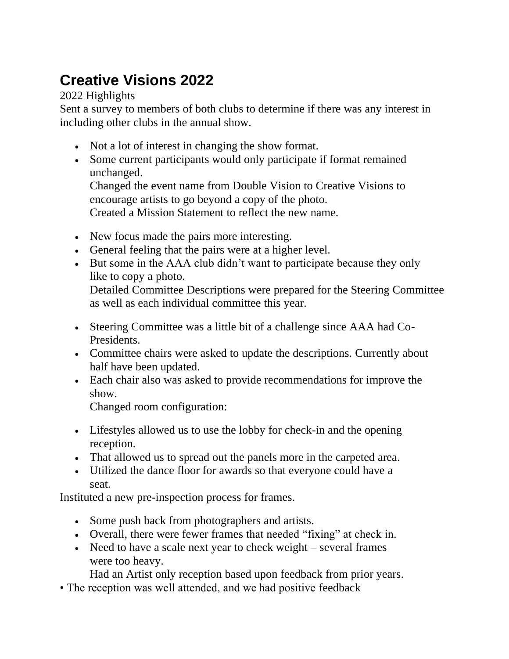# **Creative Visions 2022**

2022 Highlights

Sent a survey to members of both clubs to determine if there was any interest in including other clubs in the annual show.

- Not a lot of interest in changing the show format.
- Some current participants would only participate if format remained unchanged.

Changed the event name from Double Vision to Creative Visions to encourage artists to go beyond a copy of the photo. Created a Mission Statement to reflect the new name.

- New focus made the pairs more interesting.
- General feeling that the pairs were at a higher level.
- But some in the AAA club didn't want to participate because they only like to copy a photo.

Detailed Committee Descriptions were prepared for the Steering Committee as well as each individual committee this year.

- Steering Committee was a little bit of a challenge since AAA had Co-Presidents.
- Committee chairs were asked to update the descriptions. Currently about half have been updated.
- Each chair also was asked to provide recommendations for improve the show.

Changed room configuration:

- Lifestyles allowed us to use the lobby for check-in and the opening reception.
- That allowed us to spread out the panels more in the carpeted area.
- Utilized the dance floor for awards so that everyone could have a seat.

Instituted a new pre-inspection process for frames.

- Some push back from photographers and artists.
- Overall, there were fewer frames that needed "fixing" at check in.
- Need to have a scale next year to check weight several frames were too heavy.

Had an Artist only reception based upon feedback from prior years.

• The reception was well attended, and we had positive feedback